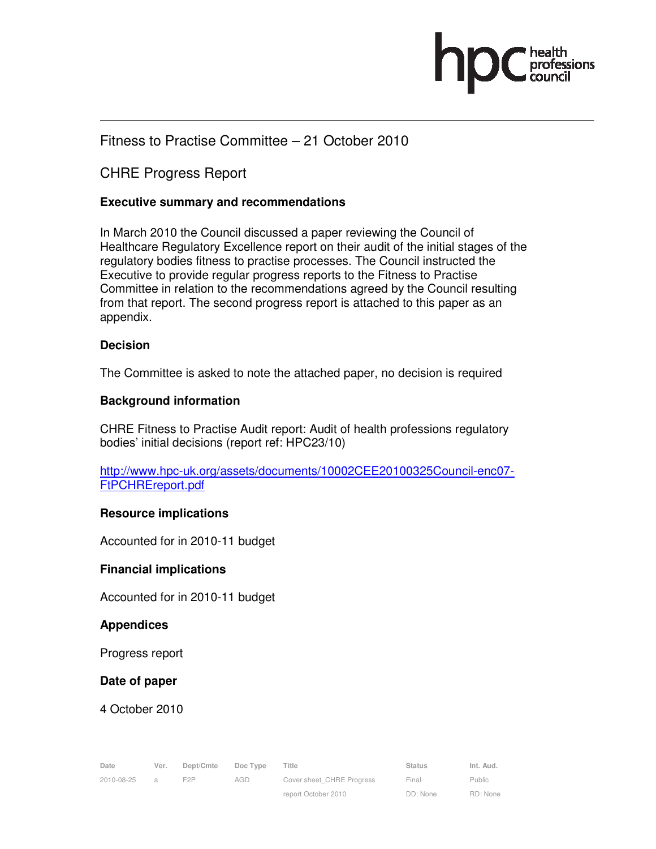

# Fitness to Practise Committee – 21 October 2010

# CHRE Progress Report

## **Executive summary and recommendations**

In March 2010 the Council discussed a paper reviewing the Council of Healthcare Regulatory Excellence report on their audit of the initial stages of the regulatory bodies fitness to practise processes. The Council instructed the Executive to provide regular progress reports to the Fitness to Practise Committee in relation to the recommendations agreed by the Council resulting from that report. The second progress report is attached to this paper as an appendix.

### **Decision**

The Committee is asked to note the attached paper, no decision is required

## **Background information**

CHRE Fitness to Practise Audit report: Audit of health professions regulatory bodies' initial decisions (report ref: HPC23/10)

http://www.hpc-uk.org/assets/documents/10002CEE20100325Council-enc07- FtPCHREreport.pdf

### **Resource implications**

Accounted for in 2010-11 budget

### **Financial implications**

Accounted for in 2010-11 budget

### **Appendices**

Progress report

### **Date of paper**

4 October 2010

| Date       | Ver.           | Dept/Cmte | Doc Type | Title                     | Status | Int. Aud. |
|------------|----------------|-----------|----------|---------------------------|--------|-----------|
| 2010-08-25 | $\overline{a}$ |           | AGD      | Cover sheet CHRE Progress | Final  | Public    |

2010-08-25 a F2P AGD Cover sheet\_CHRE Progress report October 2010

Final DD: None

Public RD: None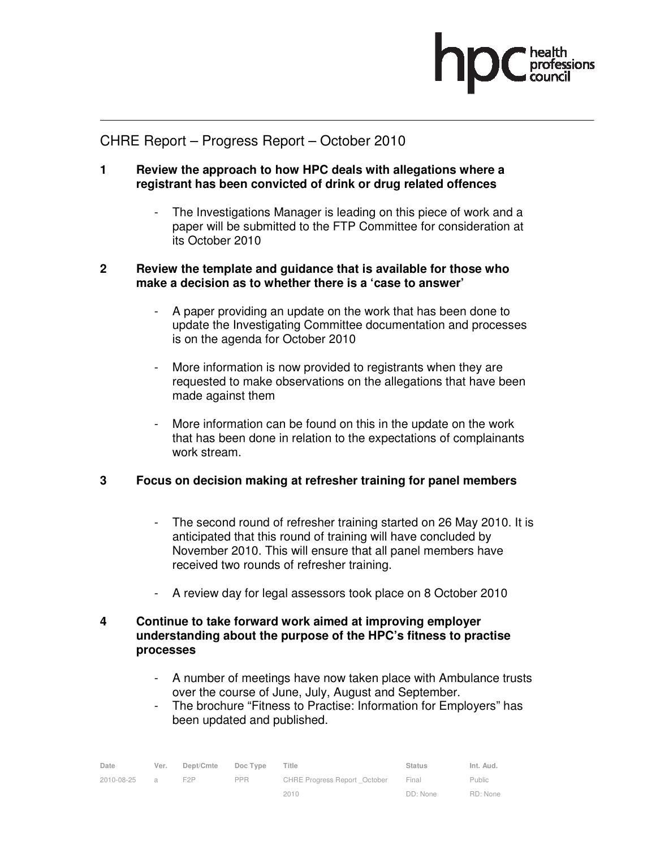

## CHRE Report – Progress Report – October 2010

- **1 Review the approach to how HPC deals with allegations where a registrant has been convicted of drink or drug related offences** 
	- The Investigations Manager is leading on this piece of work and a paper will be submitted to the FTP Committee for consideration at its October 2010

### **2 Review the template and guidance that is available for those who make a decision as to whether there is a 'case to answer'**

- A paper providing an update on the work that has been done to update the Investigating Committee documentation and processes is on the agenda for October 2010
- More information is now provided to registrants when they are requested to make observations on the allegations that have been made against them
- More information can be found on this in the update on the work that has been done in relation to the expectations of complainants work stream.

## **3 Focus on decision making at refresher training for panel members**

- The second round of refresher training started on 26 May 2010. It is anticipated that this round of training will have concluded by November 2010. This will ensure that all panel members have received two rounds of refresher training.
- A review day for legal assessors took place on 8 October 2010

## **4 Continue to take forward work aimed at improving employer understanding about the purpose of the HPC's fitness to practise processes**

- A number of meetings have now taken place with Ambulance trusts over the course of June, July, August and September.
- The brochure "Fitness to Practise: Information for Employers" has been updated and published.

| Date       | Ver.          | Dept/Cmte        | Doc Type | Title                               | Status   | Int. Aud. |
|------------|---------------|------------------|----------|-------------------------------------|----------|-----------|
| 2010-08-25 | $\mathcal{A}$ | F <sub>2</sub> P | PPR.     | <b>CHRE Progress Report October</b> | Final    | Public    |
|            |               |                  |          | 2010                                | DD: None | RD: None  |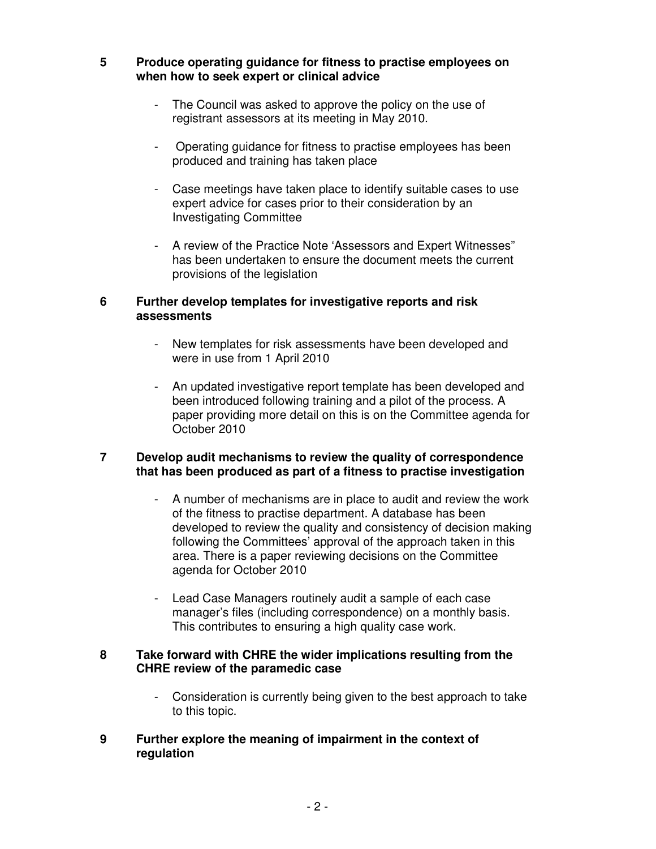#### **5 Produce operating guidance for fitness to practise employees on when how to seek expert or clinical advice**

- The Council was asked to approve the policy on the use of registrant assessors at its meeting in May 2010.
- Operating guidance for fitness to practise employees has been produced and training has taken place
- Case meetings have taken place to identify suitable cases to use expert advice for cases prior to their consideration by an Investigating Committee
- A review of the Practice Note 'Assessors and Expert Witnesses" has been undertaken to ensure the document meets the current provisions of the legislation

## **6 Further develop templates for investigative reports and risk assessments**

- New templates for risk assessments have been developed and were in use from 1 April 2010
- An updated investigative report template has been developed and been introduced following training and a pilot of the process. A paper providing more detail on this is on the Committee agenda for October 2010

## **7 Develop audit mechanisms to review the quality of correspondence that has been produced as part of a fitness to practise investigation**

- A number of mechanisms are in place to audit and review the work of the fitness to practise department. A database has been developed to review the quality and consistency of decision making following the Committees' approval of the approach taken in this area. There is a paper reviewing decisions on the Committee agenda for October 2010
- Lead Case Managers routinely audit a sample of each case manager's files (including correspondence) on a monthly basis. This contributes to ensuring a high quality case work.

### **8 Take forward with CHRE the wider implications resulting from the CHRE review of the paramedic case**

- Consideration is currently being given to the best approach to take to this topic.

## **9 Further explore the meaning of impairment in the context of regulation**